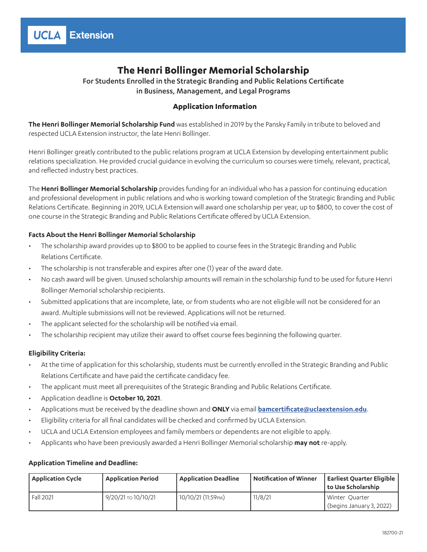# **The Henri Bollinger Memorial Scholarship**

For Students Enrolled in the Strategic Branding and Public Relations Certificate in Business, Management, and Legal Programs

## **Application Information**

**The Henri Bollinger Memorial Scholarship Fund** was established in 2019 by the Pansky Family in tribute to beloved and respected UCLA Extension instructor, the late Henri Bollinger.

Henri Bollinger greatly contributed to the public relations program at UCLA Extension by developing entertainment public relations specialization. He provided crucial guidance in evolving the curriculum so courses were timely, relevant, practical, and reflected industry best practices.

The **Henri Bollinger Memorial Scholarship** provides funding for an individual who has a passion for continuing education and professional development in public relations and who is working toward completion of the Strategic Branding and Public Relations Certificate. Beginning in 2019, UCLA Extension will award one scholarship per year, up to \$800, to cover the cost of one course in the Strategic Branding and Public Relations Certificate offered by UCLA Extension.

## **Facts About the Henri Bollinger Memorial Scholarship**

- The scholarship award provides up to \$800 to be applied to course fees in the Strategic Branding and Public Relations Certificate.
- The scholarship is not transferable and expires after one (1) year of the award date.
- No cash award will be given. Unused scholarship amounts will remain in the scholarship fund to be used for future Henri Bollinger Memorial scholarship recipients.
- Submitted applications that are incomplete, late, or from students who are not eligible will not be considered for an award. Multiple submissions will not be reviewed. Applications will not be returned.
- The applicant selected for the scholarship will be notified via email.
- The scholarship recipient may utilize their award to offset course fees beginning the following quarter.

### **Eligibility Criteria:**

- At the time of application for this scholarship, students must be currently enrolled in the Strategic Branding and Public Relations Certificate and have paid the certificate candidacy fee.
- The applicant must meet all prerequisites of the Strategic Branding and Public Relations Certificate.
- Application deadline is **October 10, 2021**.
- Applications must be received by the deadline shown and **ONLY** via email **[bamcertificate@uclaextension.edu](mailto:bamcertificate@uclaextension.edu)**.
- Eligibility criteria for all final candidates will be checked and confirmed by UCLA Extension.
- UCLA and UCLA Extension employees and family members or dependents are not eligible to apply.
- Applicants who have been previously awarded a Henri Bollinger Memorial scholarship **may not** re-apply.

### **Application Timeline and Deadline:**

| <b>Application Cycle</b> | <b>Application Period</b> | Application Deadline | <b>Notification of Winner</b> | <b>Earliest Quarter Eligible</b><br>l to Use Scholarship |
|--------------------------|---------------------------|----------------------|-------------------------------|----------------------------------------------------------|
| Fall 2021                | 9/20/21 то 10/10/21       | 10/10/21 (11:59 PM)  | 11/8/21                       | Winter Quarter<br>(begins January 3, 2022)               |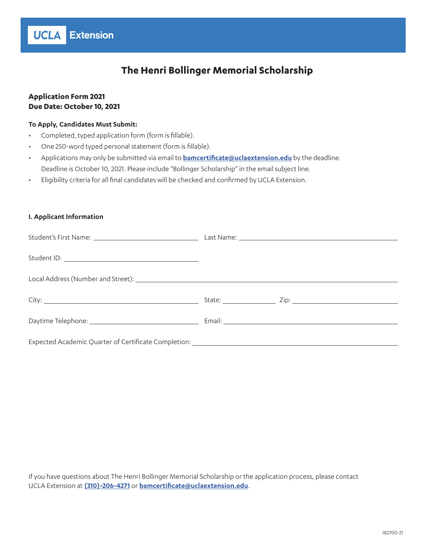

## **Application Form 2021 Due Date: October 10, 2021**

**UCLA** Extension

### **To Apply, Candidates Must Submit:**

- Completed, typed application form (form is fillable).
- One 250-word typed personal statement (form is fillable).
- Applications may only be submitted via email to **[bamcertificate@uclaextension.edu](mailto:bamcertificate@uclaextension.edu)** by the deadline. Deadline is October 10, 2021. Please include "Bollinger Scholarship" in the email subject line.
- Eligibility criteria for all final candidates will be checked and confirmed by UCLA Extension.

### **I. Applicant Information**

If you have questions about The Henri Bollinger Memorial Scholarship or the application process, please contact UCLA Extension at **[\(310\)-206-4271](tel:(310)-206-4271)** or **[bamcertificate@uclaextension.edu](mailto:bamcertificate@uclaextension.edu)**.